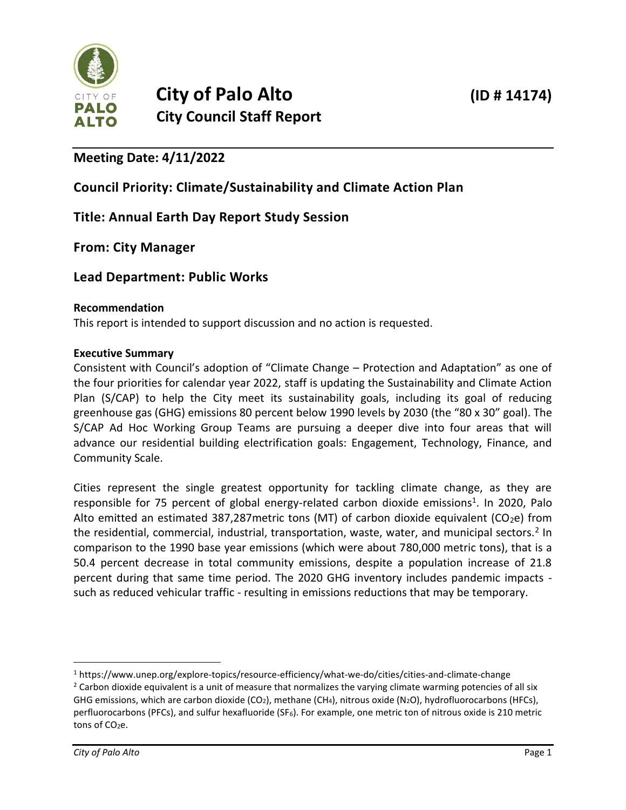

# **Meeting Date: 4/11/2022**

## **Council Priority: Climate/Sustainability and Climate Action Plan**

## **Title: Annual Earth Day Report Study Session**

## **From: City Manager**

## **Lead Department: Public Works**

#### **Recommendation**

This report is intended to support discussion and no action is requested.

#### **Executive Summary**

Consistent with Council's adoption of "Climate Change – Protection and Adaptation" as one of the four priorities for calendar year 2022, staff is updating the Sustainability and Climate Action Plan (S/CAP) to help the City meet its sustainability goals, including its goal of reducing greenhouse gas (GHG) emissions 80 percent below 1990 levels by 2030 (the "80 x 30" goal). The S/CAP Ad Hoc Working Group Teams are pursuing a deeper dive into four areas that will advance our residential building electrification goals: Engagement, Technology, Finance, and Community Scale.

Cities represent the single greatest opportunity for tackling climate change, as they are responsible for 75 percent of global energy-related carbon dioxide emissions<sup>1</sup>. In 2020, Palo Alto emitted an estimated 387,287 metric tons (MT) of carbon dioxide equivalent (CO<sub>2</sub>e) from the residential, commercial, industrial, transportation, waste, water, and municipal sectors.<sup>2</sup> In comparison to the 1990 base year emissions (which were about 780,000 metric tons), that is a 50.4 percent decrease in total community emissions, despite a population increase of 21.8 percent during that same time period. The 2020 GHG inventory includes pandemic impacts such as reduced vehicular traffic - resulting in emissions reductions that may be temporary.

<sup>1</sup> https://www.unep.org/explore-topics/resource-efficiency/what-we-do/cities/cities-and-climate-change  $2$  Carbon dioxide equivalent is a unit of measure that normalizes the varying climate warming potencies of all six GHG emissions, which are carbon dioxide (CO<sub>2</sub>), methane (CH<sub>4</sub>), nitrous oxide (N<sub>2</sub>O), hydrofluorocarbons (HFCs), perfluorocarbons (PFCs), and sulfur hexafluoride (SF<sub>6</sub>). For example, one metric ton of nitrous oxide is 210 metric tons of  $CO<sub>2</sub>e$ .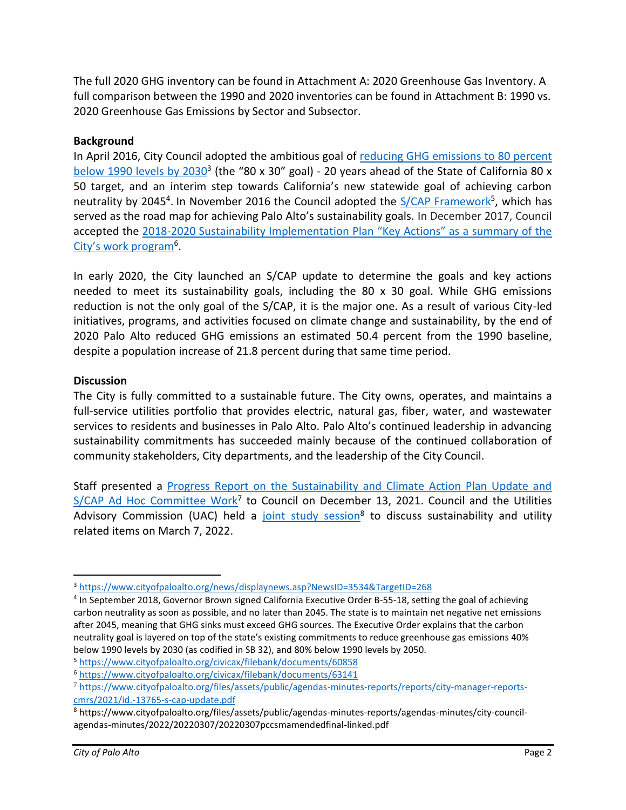The full 2020 GHG inventory can be found in Attachment A: 2020 Greenhouse Gas Inventory. A full comparison between the 1990 and 2020 inventories can be found in Attachment B: 1990 vs. 2020 Greenhouse Gas Emissions by Sector and Subsector.

## **Background**

In April 2016, City Council adopted the ambitious goal of [reducing GHG emissions to 80 percent](http://www.cityofpaloalto.org/news/displaynews.asp?NewsID=3534&TargetID=268)  [below 1990 levels by 2030](http://www.cityofpaloalto.org/news/displaynews.asp?NewsID=3534&TargetID=268)<sup>3</sup> (the "80 x 30" goal) - 20 years ahead of the State of California 80 x 50 target, and an interim step towards California's new statewide goal of achieving carbon neutrality by 2045<sup>4</sup>. In November 2016 the Council adopted the [S/CAP Framework](http://www.cityofpaloalto.org/civicax/filebank/blobdload.aspx?BlobID=60858)<sup>5</sup>, which has served as the road map for achieving Palo Alto's sustainability goals. In December 2017, Council accepted the [2018-2020 Sustainability Implementation Plan](https://www.cityofpaloalto.org/civicax/filebank/documents/63141) "Key Actions" as a summary of the City's work program<sup>6</sup>.

In early 2020, the City launched an S/CAP update to determine the goals and key actions needed to meet its sustainability goals, including the 80 x 30 goal. While GHG emissions reduction is not the only goal of the S/CAP, it is the major one. As a result of various City-led initiatives, programs, and activities focused on climate change and sustainability, by the end of 2020 Palo Alto reduced GHG emissions an estimated 50.4 percent from the 1990 baseline, despite a population increase of 21.8 percent during that same time period.

## **Discussion**

The City is fully committed to a sustainable future. The City owns, operates, and maintains a full-service utilities portfolio that provides electric, natural gas, fiber, water, and wastewater services to residents and businesses in Palo Alto. Palo Alto's continued leadership in advancing sustainability commitments has succeeded mainly because of the continued collaboration of community stakeholders, City departments, and the leadership of the City Council.

Staff presented a [Progress Report on the Sustainability and Climate Action Plan Update and](https://www.cityofpaloalto.org/files/assets/public/agendas-minutes-reports/reports/city-manager-reports-cmrs/2021/id.-13765-s-cap-update.pdf)  [S/CAP Ad Hoc Committee Work](https://www.cityofpaloalto.org/files/assets/public/agendas-minutes-reports/reports/city-manager-reports-cmrs/2021/id.-13765-s-cap-update.pdf)<sup>7</sup> to Council on December 13, 2021. Council and the Utilities Advisory Commission (UAC) held a [joint study session](https://www.cityofpaloalto.org/files/assets/public/agendas-minutes-reports/agendas-minutes/city-council-agendas-minutes/2022/20220307/20220307pccsmamendedfinal-linked.pdf)<sup>8</sup> to discuss sustainability and utility related items on March 7, 2022.

<sup>3</sup> <https://www.cityofpaloalto.org/news/displaynews.asp?NewsID=3534&TargetID=268>

<sup>&</sup>lt;sup>4</sup> In September 2018, Governor Brown signed California Executive Order B-55-18, setting the goal of achieving carbon neutrality as soon as possible, and no later than 2045. The state is to maintain net negative net emissions after 2045, meaning that GHG sinks must exceed GHG sources. The Executive Order explains that the carbon neutrality goal is layered on top of the state's existing commitments to reduce greenhouse gas emissions 40% below 1990 levels by 2030 (as codified in SB 32), and 80% below 1990 levels by 2050.

<sup>5</sup> <https://www.cityofpaloalto.org/civicax/filebank/documents/60858>

<sup>6</sup> <https://www.cityofpaloalto.org/civicax/filebank/documents/63141>

<sup>7</sup> [https://www.cityofpaloalto.org/files/assets/public/agendas-minutes-reports/reports/city-manager-reports](https://www.cityofpaloalto.org/files/assets/public/agendas-minutes-reports/reports/city-manager-reports-cmrs/2021/id.-13765-s-cap-update.pdf)[cmrs/2021/id.-13765-s-cap-update.pdf](https://www.cityofpaloalto.org/files/assets/public/agendas-minutes-reports/reports/city-manager-reports-cmrs/2021/id.-13765-s-cap-update.pdf)

<sup>8</sup> https://www.cityofpaloalto.org/files/assets/public/agendas-minutes-reports/agendas-minutes/city-councilagendas-minutes/2022/20220307/20220307pccsmamendedfinal-linked.pdf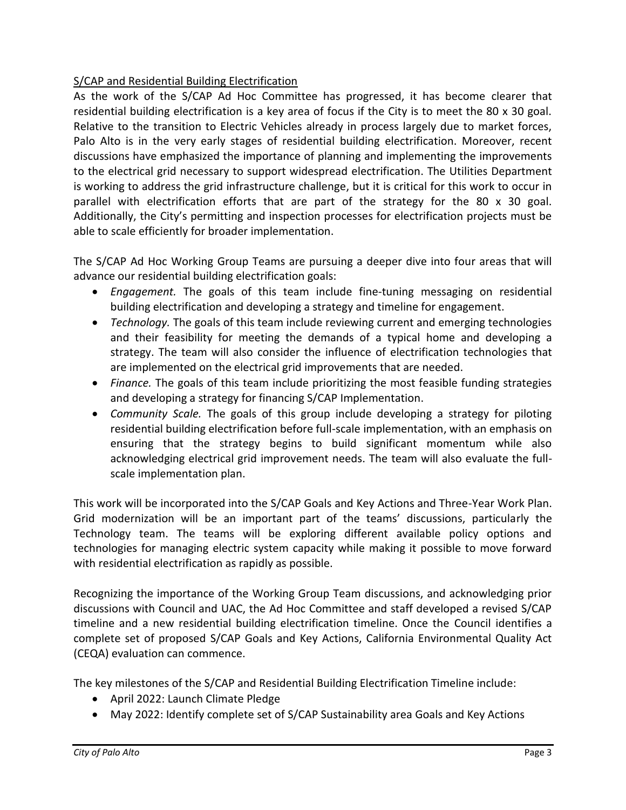## S/CAP and Residential Building Electrification

As the work of the S/CAP Ad Hoc Committee has progressed, it has become clearer that residential building electrification is a key area of focus if the City is to meet the 80 x 30 goal. Relative to the transition to Electric Vehicles already in process largely due to market forces, Palo Alto is in the very early stages of residential building electrification. Moreover, recent discussions have emphasized the importance of planning and implementing the improvements to the electrical grid necessary to support widespread electrification. The Utilities Department is working to address the grid infrastructure challenge, but it is critical for this work to occur in parallel with electrification efforts that are part of the strategy for the 80 x 30 goal. Additionally, the City's permitting and inspection processes for electrification projects must be able to scale efficiently for broader implementation.

The S/CAP Ad Hoc Working Group Teams are pursuing a deeper dive into four areas that will advance our residential building electrification goals:

- *Engagement.* The goals of this team include fine-tuning messaging on residential building electrification and developing a strategy and timeline for engagement.
- *Technology.* The goals of this team include reviewing current and emerging technologies and their feasibility for meeting the demands of a typical home and developing a strategy. The team will also consider the influence of electrification technologies that are implemented on the electrical grid improvements that are needed.
- *Finance.* The goals of this team include prioritizing the most feasible funding strategies and developing a strategy for financing S/CAP Implementation.
- *Community Scale.* The goals of this group include developing a strategy for piloting residential building electrification before full-scale implementation, with an emphasis on ensuring that the strategy begins to build significant momentum while also acknowledging electrical grid improvement needs. The team will also evaluate the fullscale implementation plan.

This work will be incorporated into the S/CAP Goals and Key Actions and Three-Year Work Plan. Grid modernization will be an important part of the teams' discussions, particularly the Technology team. The teams will be exploring different available policy options and technologies for managing electric system capacity while making it possible to move forward with residential electrification as rapidly as possible.

Recognizing the importance of the Working Group Team discussions, and acknowledging prior discussions with Council and UAC, the Ad Hoc Committee and staff developed a revised S/CAP timeline and a new residential building electrification timeline. Once the Council identifies a complete set of proposed S/CAP Goals and Key Actions, California Environmental Quality Act (CEQA) evaluation can commence.

The key milestones of the S/CAP and Residential Building Electrification Timeline include:

- April 2022: Launch Climate Pledge
- May 2022: Identify complete set of S/CAP Sustainability area Goals and Key Actions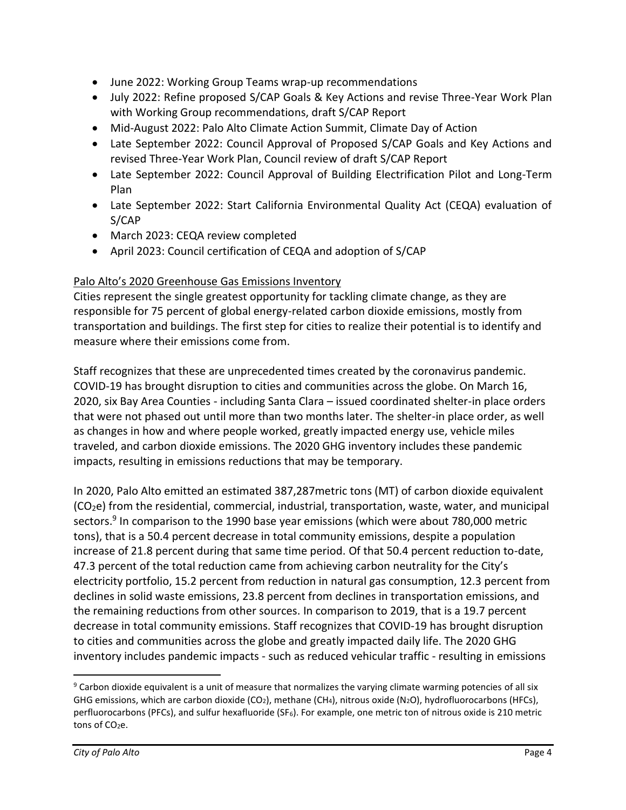- June 2022: Working Group Teams wrap-up recommendations
- July 2022: Refine proposed S/CAP Goals & Key Actions and revise Three-Year Work Plan with Working Group recommendations, draft S/CAP Report
- Mid-August 2022: Palo Alto Climate Action Summit, Climate Day of Action
- Late September 2022: Council Approval of Proposed S/CAP Goals and Key Actions and revised Three-Year Work Plan, Council review of draft S/CAP Report
- Late September 2022: Council Approval of Building Electrification Pilot and Long-Term Plan
- Late September 2022: Start California Environmental Quality Act (CEQA) evaluation of S/CAP
- March 2023: CEQA review completed
- April 2023: Council certification of CEQA and adoption of S/CAP

## Palo Alto's 2020 Greenhouse Gas Emissions Inventory

Cities represent the single greatest opportunity for tackling climate change, as they are responsible for 75 percent of global energy-related carbon dioxide emissions, mostly from transportation and buildings. The first step for cities to realize their potential is to identify and measure where their emissions come from.

Staff recognizes that these are unprecedented times created by the coronavirus pandemic. COVID-19 has brought disruption to cities and communities across the globe. On March 16, 2020, six Bay Area Counties - including Santa Clara – issued coordinated shelter-in place orders that were not phased out until more than two months later. The shelter-in place order, as well as changes in how and where people worked, greatly impacted energy use, vehicle miles traveled, and carbon dioxide emissions. The 2020 GHG inventory includes these pandemic impacts, resulting in emissions reductions that may be temporary.

In 2020, Palo Alto emitted an estimated 387,287metric tons (MT) of carbon dioxide equivalent  $(CO<sub>2</sub>e)$  from the residential, commercial, industrial, transportation, waste, water, and municipal sectors.<sup>9</sup> In comparison to the 1990 base year emissions (which were about 780,000 metric tons), that is a 50.4 percent decrease in total community emissions, despite a population increase of 21.8 percent during that same time period. Of that 50.4 percent reduction to-date, 47.3 percent of the total reduction came from achieving carbon neutrality for the City's electricity portfolio, 15.2 percent from reduction in natural gas consumption, 12.3 percent from declines in solid waste emissions, 23.8 percent from declines in transportation emissions, and the remaining reductions from other sources. In comparison to 2019, that is a 19.7 percent decrease in total community emissions. Staff recognizes that COVID-19 has brought disruption to cities and communities across the globe and greatly impacted daily life. The 2020 GHG inventory includes pandemic impacts - such as reduced vehicular traffic - resulting in emissions

 $9$  Carbon dioxide equivalent is a unit of measure that normalizes the varying climate warming potencies of all six GHG emissions, which are carbon dioxide (CO<sub>2</sub>), methane (CH<sub>4</sub>), nitrous oxide (N<sub>2</sub>O), hydrofluorocarbons (HFCs), perfluorocarbons (PFCs), and sulfur hexafluoride (SF<sub>6</sub>). For example, one metric ton of nitrous oxide is 210 metric tons of  $CO<sub>2</sub>e$ .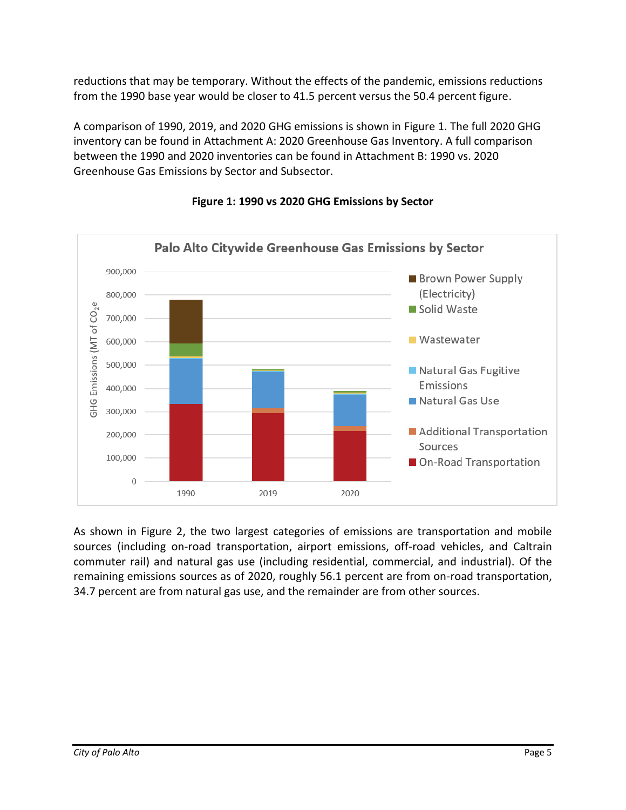reductions that may be temporary. Without the effects of the pandemic, emissions reductions from the 1990 base year would be closer to 41.5 percent versus the 50.4 percent figure.

A comparison of 1990, 2019, and 2020 GHG emissions is shown in [Figure 1.](#page-4-0) The full 2020 GHG inventory can be found in Attachment A: 2020 Greenhouse Gas Inventory. A full comparison between the 1990 and 2020 inventories can be found in Attachment B: 1990 vs. 2020 Greenhouse Gas Emissions by Sector and Subsector.

<span id="page-4-0"></span>

## **Figure 1: 1990 vs 2020 GHG Emissions by Sector**

As shown in [Figure 2,](#page-5-0) the two largest categories of emissions are transportation and mobile sources (including on-road transportation, airport emissions, off-road vehicles, and Caltrain commuter rail) and natural gas use (including residential, commercial, and industrial). Of the remaining emissions sources as of 2020, roughly 56.1 percent are from on-road transportation, 34.7 percent are from natural gas use, and the remainder are from other sources.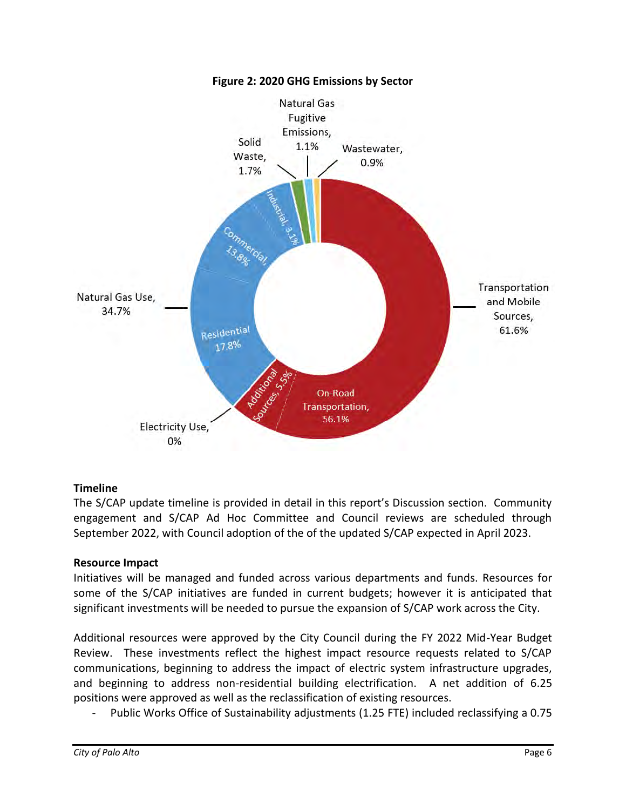<span id="page-5-0"></span>

#### **Figure 2: 2020 GHG Emissions by Sector**

#### **Timeline**

The S/CAP update timeline is provided in detail in this report's Discussion section. Community engagement and S/CAP Ad Hoc Committee and Council reviews are scheduled through September 2022, with Council adoption of the of the updated S/CAP expected in April 2023.

#### **Resource Impact**

Initiatives will be managed and funded across various departments and funds. Resources for some of the S/CAP initiatives are funded in current budgets; however it is anticipated that significant investments will be needed to pursue the expansion of S/CAP work across the City.

Additional resources were approved by the City Council during the FY 2022 Mid-Year Budget Review. These investments reflect the highest impact resource requests related to S/CAP communications, beginning to address the impact of electric system infrastructure upgrades, and beginning to address non-residential building electrification. A net addition of 6.25 positions were approved as well as the reclassification of existing resources.

Public Works Office of Sustainability adjustments (1.25 FTE) included reclassifying a 0.75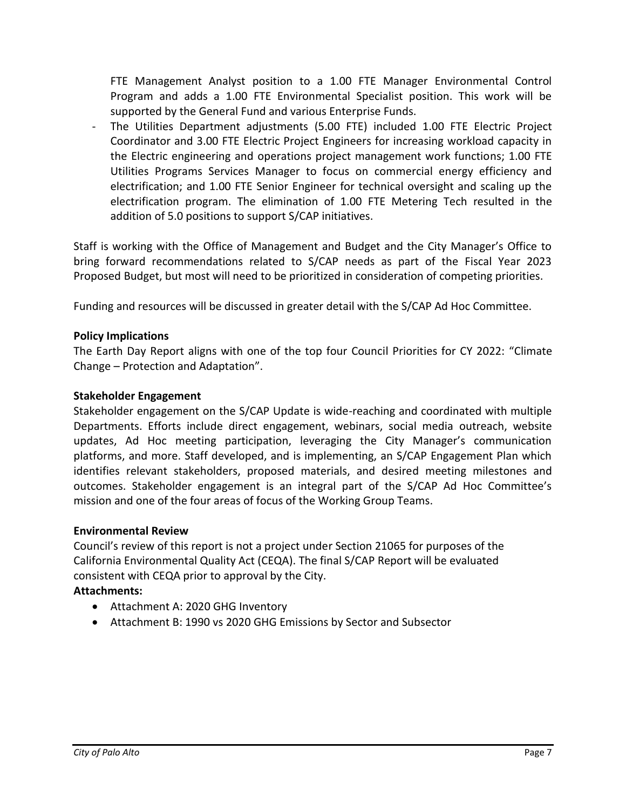FTE Management Analyst position to a 1.00 FTE Manager Environmental Control Program and adds a 1.00 FTE Environmental Specialist position. This work will be supported by the General Fund and various Enterprise Funds.

- The Utilities Department adjustments (5.00 FTE) included 1.00 FTE Electric Project Coordinator and 3.00 FTE Electric Project Engineers for increasing workload capacity in the Electric engineering and operations project management work functions; 1.00 FTE Utilities Programs Services Manager to focus on commercial energy efficiency and electrification; and 1.00 FTE Senior Engineer for technical oversight and scaling up the electrification program. The elimination of 1.00 FTE Metering Tech resulted in the addition of 5.0 positions to support S/CAP initiatives.

Staff is working with the Office of Management and Budget and the City Manager's Office to bring forward recommendations related to S/CAP needs as part of the Fiscal Year 2023 Proposed Budget, but most will need to be prioritized in consideration of competing priorities.

Funding and resources will be discussed in greater detail with the S/CAP Ad Hoc Committee.

## **Policy Implications**

The Earth Day Report aligns with one of the top four Council Priorities for CY 2022: "Climate Change – Protection and Adaptation".

#### **Stakeholder Engagement**

Stakeholder engagement on the S/CAP Update is wide-reaching and coordinated with multiple Departments. Efforts include direct engagement, webinars, social media outreach, website updates, Ad Hoc meeting participation, leveraging the City Manager's communication platforms, and more. Staff developed, and is implementing, an S/CAP Engagement Plan which identifies relevant stakeholders, proposed materials, and desired meeting milestones and outcomes. Stakeholder engagement is an integral part of the S/CAP Ad Hoc Committee's mission and one of the four areas of focus of the Working Group Teams.

#### **Environmental Review**

Council's review of this report is not a project under Section 21065 for purposes of the California Environmental Quality Act (CEQA). The final S/CAP Report will be evaluated consistent with CEQA prior to approval by the City.

#### **Attachments:**

- Attachment A: 2020 GHG Inventory
- Attachment B: 1990 vs 2020 GHG Emissions by Sector and Subsector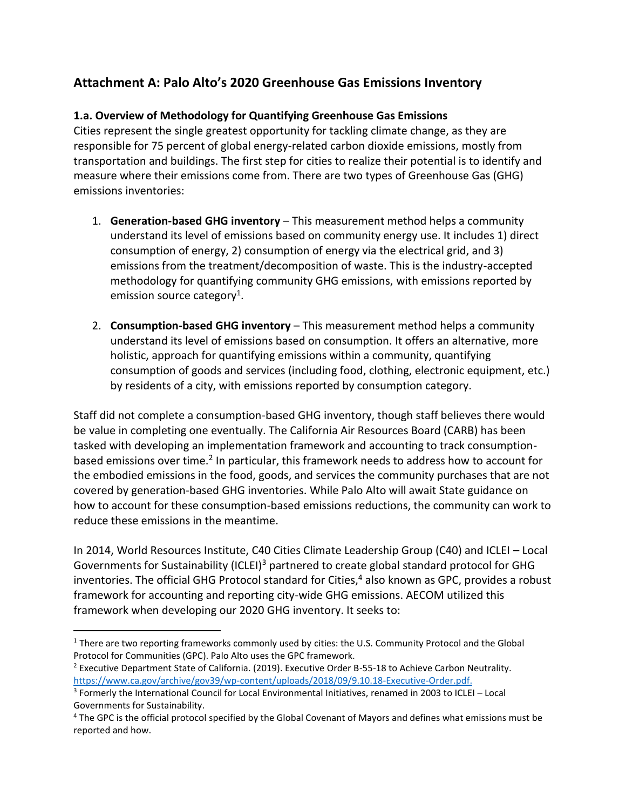## **Attachment A: Palo Alto's 2020 Greenhouse Gas Emissions Inventory**

## **1.a. Overview of Methodology for Quantifying Greenhouse Gas Emissions**

Cities represent the single greatest opportunity for tackling climate change, as they are responsible for 75 percent of global energy-related carbon dioxide emissions, mostly from transportation and buildings. The first step for cities to realize their potential is to identify and measure where their emissions come from. There are two types of Greenhouse Gas (GHG) emissions inventories:

- 1. **Generation-based GHG inventory** This measurement method helps a community understand its level of emissions based on community energy use. It includes 1) direct consumption of energy, 2) consumption of energy via the electrical grid, and 3) emissions from the treatment/decomposition of waste. This is the industry-accepted methodology for quantifying community GHG emissions, with emissions reported by emission source category<sup>1</sup>.
- 2. **Consumption-based GHG inventory** This measurement method helps a community understand its level of emissions based on consumption. It offers an alternative, more holistic, approach for quantifying emissions within a community, quantifying consumption of goods and services (including food, clothing, electronic equipment, etc.) by residents of a city, with emissions reported by consumption category.

Staff did not complete a consumption-based GHG inventory, though staff believes there would be value in completing one eventually. The California Air Resources Board (CARB) has been tasked with developing an implementation framework and accounting to track consumptionbased emissions over time.<sup>2</sup> In particular, this framework needs to address how to account for the embodied emissions in the food, goods, and services the community purchases that are not covered by generation-based GHG inventories. While Palo Alto will await State guidance on how to account for these consumption-based emissions reductions, the community can work to reduce these emissions in the meantime.

In 2014, World Resources Institute, C40 Cities Climate Leadership Group (C40) and ICLEI – Local Governments for Sustainability (ICLEI)<sup>3</sup> partnered to create global standard protocol for GHG inventories. The official GHG Protocol standard for Cities,<sup>4</sup> also known as GPC, provides a robust framework for accounting and reporting city-wide GHG emissions. AECOM utilized this framework when developing our 2020 GHG inventory. It seeks to:

 $<sup>1</sup>$  There are two reporting frameworks commonly used by cities: the U.S. Community Protocol and the Global</sup> Protocol for Communities (GPC). Palo Alto uses the GPC framework.

<sup>2</sup> Executive Department State of California. (2019). Executive Order B-55-18 to Achieve Carbon Neutrality. [https://www.ca.gov/archive/gov39/wp-content/uploads/2018/09/9.10.18-Executive-Order.pdf.](https://www.ca.gov/archive/gov39/wp-content/uploads/2018/09/9.10.18-Executive-Order.pdf)

<sup>&</sup>lt;sup>3</sup> Formerly the International Council for Local Environmental Initiatives, renamed in 2003 to ICLEI – Local Governments for Sustainability.

<sup>4</sup> The GPC is the official protocol specified by the Global Covenant of Mayors and defines what emissions must be reported and how.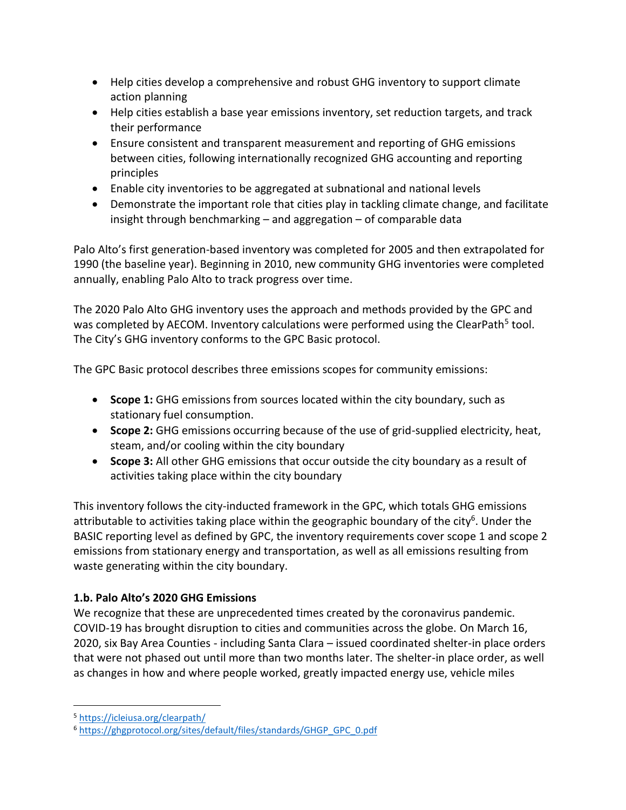- Help cities develop a comprehensive and robust GHG inventory to support climate action planning
- Help cities establish a base year emissions inventory, set reduction targets, and track their performance
- Ensure consistent and transparent measurement and reporting of GHG emissions between cities, following internationally recognized GHG accounting and reporting principles
- Enable city inventories to be aggregated at subnational and national levels
- Demonstrate the important role that cities play in tackling climate change, and facilitate insight through benchmarking – and aggregation – of comparable data

Palo Alto's first generation-based inventory was completed for 2005 and then extrapolated for 1990 (the baseline year). Beginning in 2010, new community GHG inventories were completed annually, enabling Palo Alto to track progress over time.

The 2020 Palo Alto GHG inventory uses the approach and methods provided by the GPC and was completed by AECOM. Inventory calculations were performed using the ClearPath<sup>5</sup> tool. The City's GHG inventory conforms to the GPC Basic protocol.

The GPC Basic protocol describes three emissions scopes for community emissions:

- **Scope 1:** GHG emissions from sources located within the city boundary, such as stationary fuel consumption.
- **Scope 2:** GHG emissions occurring because of the use of grid-supplied electricity, heat, steam, and/or cooling within the city boundary
- **Scope 3:** All other GHG emissions that occur outside the city boundary as a result of activities taking place within the city boundary

This inventory follows the city-inducted framework in the GPC, which totals GHG emissions attributable to activities taking place within the geographic boundary of the city<sup>6</sup>. Under the BASIC reporting level as defined by GPC, the inventory requirements cover scope 1 and scope 2 emissions from stationary energy and transportation, as well as all emissions resulting from waste generating within the city boundary.

## **1.b. Palo Alto's 2020 GHG Emissions**

We recognize that these are unprecedented times created by the coronavirus pandemic. COVID-19 has brought disruption to cities and communities across the globe. On March 16, 2020, six Bay Area Counties - including Santa Clara – issued coordinated shelter-in place orders that were not phased out until more than two months later. The shelter-in place order, as well as changes in how and where people worked, greatly impacted energy use, vehicle miles

<sup>5</sup> <https://icleiusa.org/clearpath/>

<sup>6</sup> [https://ghgprotocol.org/sites/default/files/standards/GHGP\\_GPC\\_0.pdf](https://ghgprotocol.org/sites/default/files/standards/GHGP_GPC_0.pdf)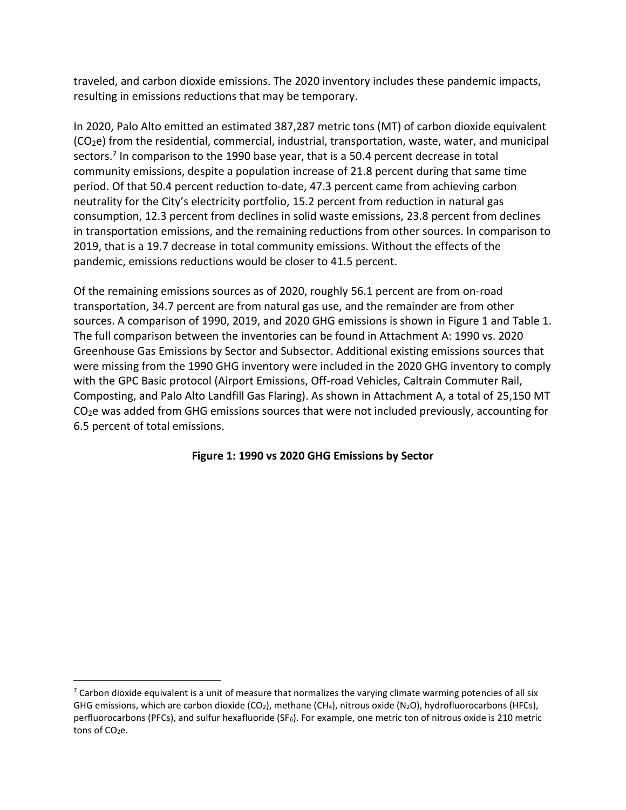traveled, and carbon dioxide emissions. The 2020 inventory includes these pandemic impacts, resulting in emissions reductions that may be temporary.

In 2020, Palo Alto emitted an estimated 387,287 metric tons (MT) of carbon dioxide equivalent (CO2e) from the residential, commercial, industrial, transportation, waste, water, and municipal sectors.<sup>7</sup> In comparison to the 1990 base year, that is a 50.4 percent decrease in total community emissions, despite a population increase of 21.8 percent during that same time period. Of that 50.4 percent reduction to-date, 47.3 percent came from achieving carbon neutrality for the City's electricity portfolio, 15.2 percent from reduction in natural gas consumption, 12.3 percent from declines in solid waste emissions, 23.8 percent from declines in transportation emissions, and the remaining reductions from other sources. In comparison to 2019, that is a 19.7 decrease in total community emissions. Without the effects of the pandemic, emissions reductions would be closer to 41.5 percent.

Of the remaining emissions sources as of 2020, roughly 56.1 percent are from on-road transportation, 34.7 percent are from natural gas use, and the remainder are from other sources. A comparison of 1990, 2019, and 2020 GHG emissions is shown in [Figure 1](#page-9-0) and [Table 1.](#page-10-0) The full comparison between the inventories can be found in Attachment A: 1990 vs. 2020 Greenhouse Gas Emissions by Sector and Subsector. Additional existing emissions sources that were missing from the 1990 GHG inventory were included in the 2020 GHG inventory to comply with the GPC Basic protocol (Airport Emissions, Off-road Vehicles, Caltrain Commuter Rail, Composting, and Palo Alto Landfill Gas Flaring). As shown in Attachment A, a total of 25,150 MT CO<sub>2</sub>e was added from GHG emissions sources that were not included previously, accounting for 6.5 percent of total emissions.

<span id="page-9-0"></span>**Figure 1: 1990 vs 2020 GHG Emissions by Sector**

 $7$  Carbon dioxide equivalent is a unit of measure that normalizes the varying climate warming potencies of all six GHG emissions, which are carbon dioxide (CO<sub>2</sub>), methane (CH<sub>4</sub>), nitrous oxide (N<sub>2</sub>O), hydrofluorocarbons (HFCs), perfluorocarbons (PFCs), and sulfur hexafluoride (SF<sub>6</sub>). For example, one metric ton of nitrous oxide is 210 metric tons of CO<sub>2</sub>e.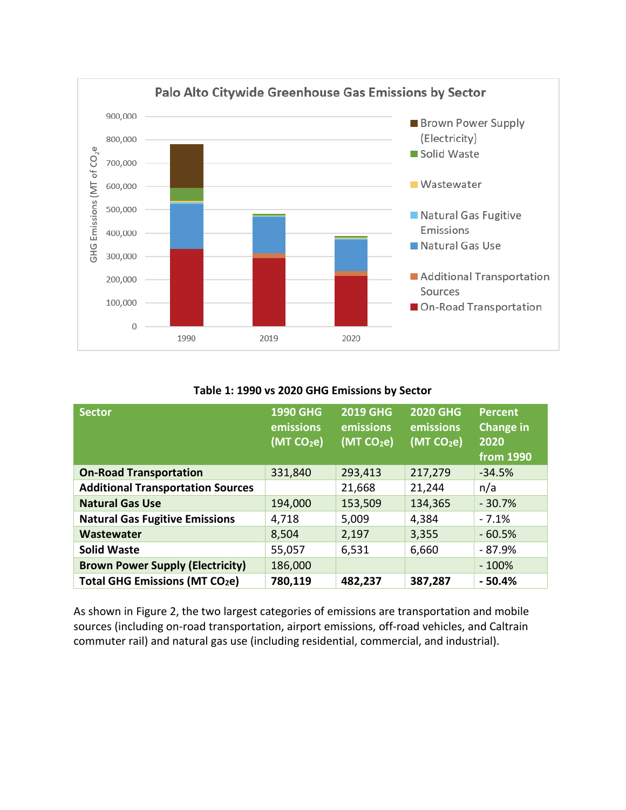

#### **Table 1: 1990 vs 2020 GHG Emissions by Sector**

<span id="page-10-0"></span>

| <b>Sector</b>                              | <b>1990 GHG</b><br>emissions<br>(MT CO <sub>2</sub> e) | <b>2019 GHG</b><br>emissions<br>(MT CO <sub>2</sub> e) | <b>2020 GHG</b><br>emissions<br>(MT CO <sub>2</sub> e) | <b>Percent</b><br><b>Change in</b><br>2020<br>from 1990 |
|--------------------------------------------|--------------------------------------------------------|--------------------------------------------------------|--------------------------------------------------------|---------------------------------------------------------|
| <b>On-Road Transportation</b>              | 331,840                                                | 293,413                                                | 217,279                                                | $-34.5%$                                                |
| <b>Additional Transportation Sources</b>   |                                                        | 21,668                                                 | 21,244                                                 | n/a                                                     |
| <b>Natural Gas Use</b>                     | 194,000                                                | 153,509                                                | 134,365                                                | $-30.7%$                                                |
| <b>Natural Gas Fugitive Emissions</b>      | 4,718                                                  | 5,009                                                  | 4,384                                                  | $-7.1%$                                                 |
| Wastewater                                 | 8,504                                                  | 2,197                                                  | 3,355                                                  | $-60.5%$                                                |
| <b>Solid Waste</b>                         | 55,057                                                 | 6,531                                                  | 6,660                                                  | - 87.9%                                                 |
| <b>Brown Power Supply (Electricity)</b>    | 186,000                                                |                                                        |                                                        | $-100%$                                                 |
| Total GHG Emissions (MT CO <sub>2</sub> e) | 780,119                                                | 482,237                                                | 387,287                                                | $-50.4%$                                                |

As shown in [Figure 2,](#page-11-0) the two largest categories of emissions are transportation and mobile sources (including on-road transportation, airport emissions, off-road vehicles, and Caltrain commuter rail) and natural gas use (including residential, commercial, and industrial).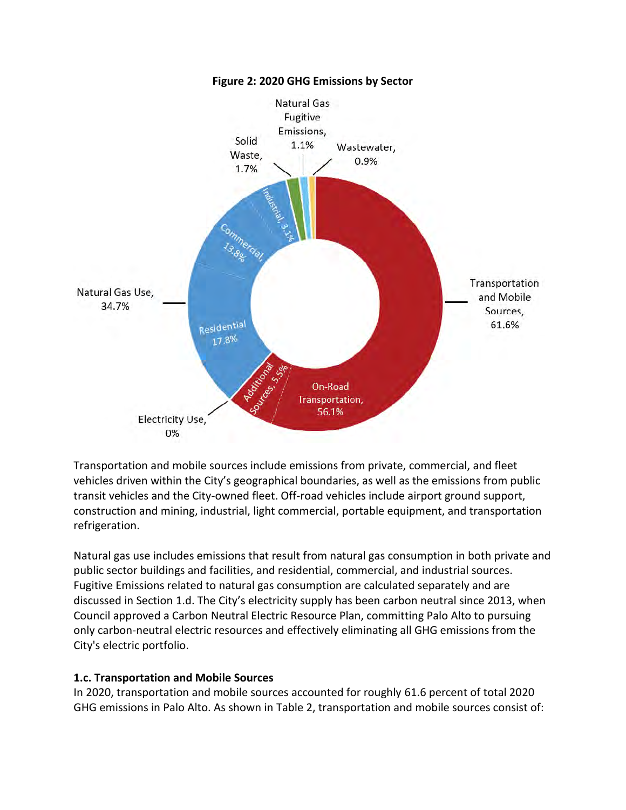<span id="page-11-0"></span>

**Figure 2: 2020 GHG Emissions by Sector**

Transportation and mobile sources include emissions from private, commercial, and fleet vehicles driven within the City's geographical boundaries, as well as the emissions from public transit vehicles and the City-owned fleet. Off-road vehicles include airport ground support, construction and mining, industrial, light commercial, portable equipment, and transportation refrigeration.

Natural gas use includes emissions that result from natural gas consumption in both private and public sector buildings and facilities, and residential, commercial, and industrial sources. Fugitive Emissions related to natural gas consumption are calculated separately and are discussed in Section 1.d. The City's electricity supply has been carbon neutral since 2013, when Council approved a Carbon Neutral Electric Resource Plan, committing Palo Alto to pursuing only carbon-neutral electric resources and effectively eliminating all GHG emissions from the City's electric portfolio.

## **1.c. Transportation and Mobile Sources**

In 2020, transportation and mobile sources accounted for roughly 61.6 percent of total 2020 GHG emissions in Palo Alto. As shown in [Table 2,](#page-12-0) transportation and mobile sources consist of: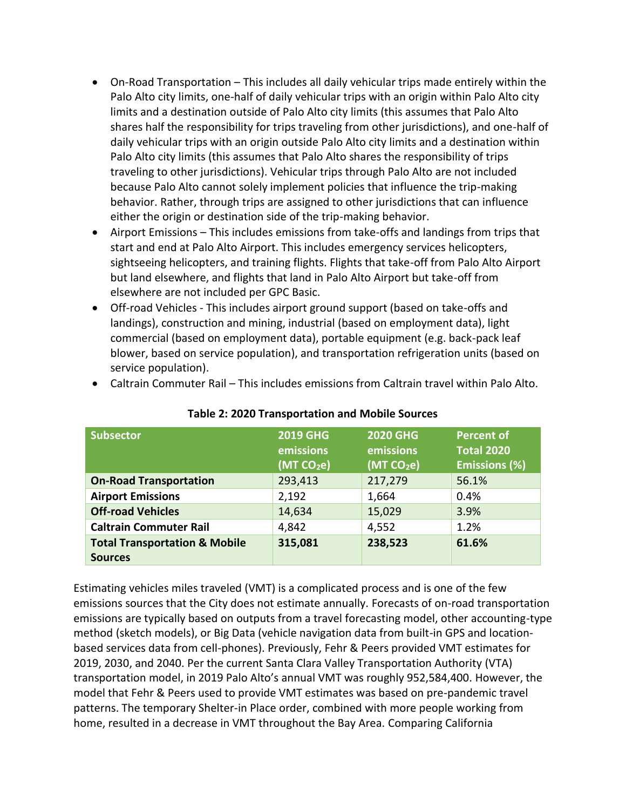- On-Road Transportation This includes all daily vehicular trips made entirely within the Palo Alto city limits, one-half of daily vehicular trips with an origin within Palo Alto city limits and a destination outside of Palo Alto city limits (this assumes that Palo Alto shares half the responsibility for trips traveling from other jurisdictions), and one-half of daily vehicular trips with an origin outside Palo Alto city limits and a destination within Palo Alto city limits (this assumes that Palo Alto shares the responsibility of trips traveling to other jurisdictions). Vehicular trips through Palo Alto are not included because Palo Alto cannot solely implement policies that influence the trip-making behavior. Rather, through trips are assigned to other jurisdictions that can influence either the origin or destination side of the trip-making behavior.
- Airport Emissions This includes emissions from take-offs and landings from trips that start and end at Palo Alto Airport. This includes emergency services helicopters, sightseeing helicopters, and training flights. Flights that take-off from Palo Alto Airport but land elsewhere, and flights that land in Palo Alto Airport but take-off from elsewhere are not included per GPC Basic.
- Off-road Vehicles This includes airport ground support (based on take-offs and landings), construction and mining, industrial (based on employment data), light commercial (based on employment data), portable equipment (e.g. back-pack leaf blower, based on service population), and transportation refrigeration units (based on service population).

<span id="page-12-0"></span>

| <b>Subsector</b>                                           | <b>2019 GHG</b><br>emissions<br>(MTCO <sub>2</sub> e) | <b>2020 GHG</b><br>emissions<br>(MTCO <sub>2</sub> e) | <b>Percent of</b><br><b>Total 2020</b><br><b>Emissions (%)</b> |
|------------------------------------------------------------|-------------------------------------------------------|-------------------------------------------------------|----------------------------------------------------------------|
| <b>On-Road Transportation</b>                              | 293,413                                               | 217,279                                               | 56.1%                                                          |
| <b>Airport Emissions</b>                                   | 2,192                                                 | 1,664                                                 | 0.4%                                                           |
| <b>Off-road Vehicles</b>                                   | 14,634                                                | 15,029                                                | 3.9%                                                           |
| <b>Caltrain Commuter Rail</b>                              | 4,842                                                 | 4,552                                                 | 1.2%                                                           |
| <b>Total Transportation &amp; Mobile</b><br><b>Sources</b> | 315,081                                               | 238,523                                               | 61.6%                                                          |

• Caltrain Commuter Rail – This includes emissions from Caltrain travel within Palo Alto.

**Table 2: 2020 Transportation and Mobile Sources**

Estimating vehicles miles traveled (VMT) is a complicated process and is one of the few emissions sources that the City does not estimate annually. Forecasts of on-road transportation emissions are typically based on outputs from a travel forecasting model, other accounting-type method (sketch models), or Big Data (vehicle navigation data from built-in GPS and locationbased services data from cell-phones). Previously, Fehr & Peers provided VMT estimates for 2019, 2030, and 2040. Per the current Santa Clara Valley Transportation Authority (VTA) transportation model, in 2019 Palo Alto's annual VMT was roughly 952,584,400. However, the model that Fehr & Peers used to provide VMT estimates was based on pre-pandemic travel patterns. The temporary Shelter-in Place order, combined with more people working from home, resulted in a decrease in VMT throughout the Bay Area. Comparing California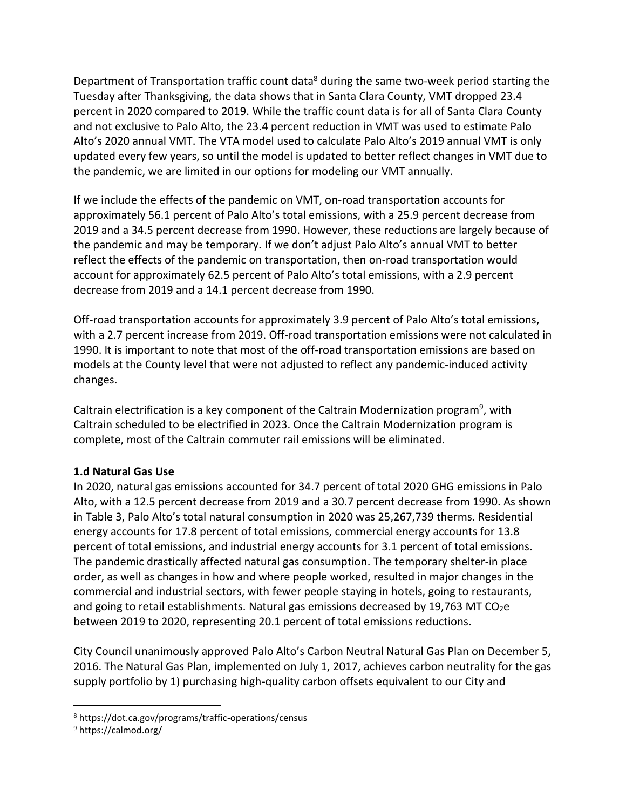Department of Transportation traffic count data<sup>8</sup> during the same two-week period starting the Tuesday after Thanksgiving, the data shows that in Santa Clara County, VMT dropped 23.4 percent in 2020 compared to 2019. While the traffic count data is for all of Santa Clara County and not exclusive to Palo Alto, the 23.4 percent reduction in VMT was used to estimate Palo Alto's 2020 annual VMT. The VTA model used to calculate Palo Alto's 2019 annual VMT is only updated every few years, so until the model is updated to better reflect changes in VMT due to the pandemic, we are limited in our options for modeling our VMT annually.

If we include the effects of the pandemic on VMT, on-road transportation accounts for approximately 56.1 percent of Palo Alto's total emissions, with a 25.9 percent decrease from 2019 and a 34.5 percent decrease from 1990. However, these reductions are largely because of the pandemic and may be temporary. If we don't adjust Palo Alto's annual VMT to better reflect the effects of the pandemic on transportation, then on-road transportation would account for approximately 62.5 percent of Palo Alto's total emissions, with a 2.9 percent decrease from 2019 and a 14.1 percent decrease from 1990.

Off-road transportation accounts for approximately 3.9 percent of Palo Alto's total emissions, with a 2.7 percent increase from 2019. Off-road transportation emissions were not calculated in 1990. It is important to note that most of the off-road transportation emissions are based on models at the County level that were not adjusted to reflect any pandemic-induced activity changes.

Caltrain electrification is a key component of the Caltrain Modernization program<sup>9</sup>, with Caltrain scheduled to be electrified in 2023. Once the Caltrain Modernization program is complete, most of the Caltrain commuter rail emissions will be eliminated.

## **1.d Natural Gas Use**

In 2020, natural gas emissions accounted for 34.7 percent of total 2020 GHG emissions in Palo Alto, with a 12.5 percent decrease from 2019 and a 30.7 percent decrease from 1990. As shown in [Table 3,](#page-14-0) Palo Alto's total natural consumption in 2020 was 25,267,739 therms. Residential energy accounts for 17.8 percent of total emissions, commercial energy accounts for 13.8 percent of total emissions, and industrial energy accounts for 3.1 percent of total emissions. The pandemic drastically affected natural gas consumption. The temporary shelter-in place order, as well as changes in how and where people worked, resulted in major changes in the commercial and industrial sectors, with fewer people staying in hotels, going to restaurants, and going to retail establishments. Natural gas emissions decreased by 19,763 MT CO<sub>2</sub>e between 2019 to 2020, representing 20.1 percent of total emissions reductions.

City Council unanimously approved Palo Alto's Carbon Neutral Natural Gas Plan on December 5, 2016. The Natural Gas Plan, implemented on July 1, 2017, achieves carbon neutrality for the gas supply portfolio by 1) purchasing high-quality carbon offsets equivalent to our City and

<sup>8</sup> https://dot.ca.gov/programs/traffic-operations/census

<sup>9</sup> https://calmod.org/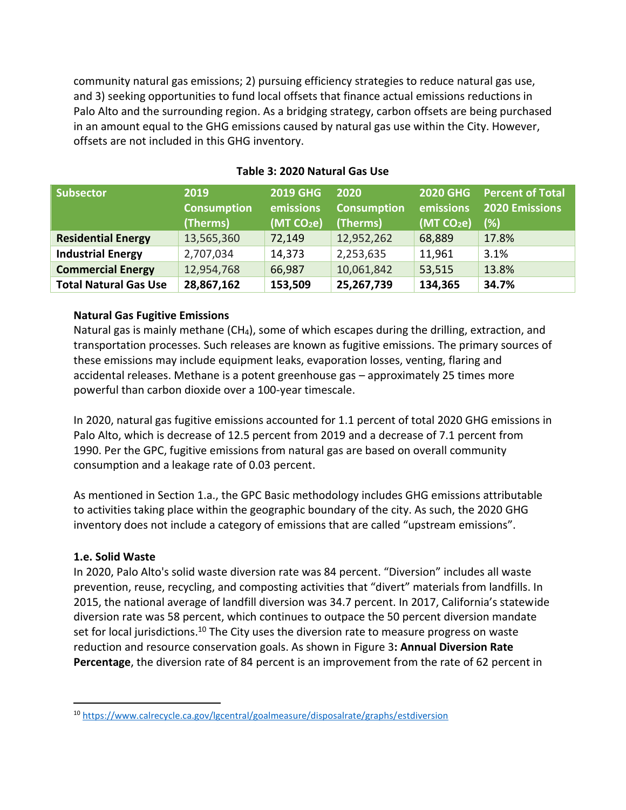community natural gas emissions; 2) pursuing efficiency strategies to reduce natural gas use, and 3) seeking opportunities to fund local offsets that finance actual emissions reductions in Palo Alto and the surrounding region. As a bridging strategy, carbon offsets are being purchased in an amount equal to the GHG emissions caused by natural gas use within the City. However, offsets are not included in this GHG inventory.

<span id="page-14-0"></span>

| <b>Subsector</b>             | 2019<br><b>Consumption</b><br>(Therms) | <b>2019 GHG</b><br>emissions<br>(MT CO <sub>2</sub> e) | 2020<br><b>Consumption</b><br>(Therms) | <b>2020 GHG</b><br>emissions<br>(MT CO <sub>2</sub> e) | <b>Percent of Total</b><br><b>2020 Emissions</b><br>(%) |
|------------------------------|----------------------------------------|--------------------------------------------------------|----------------------------------------|--------------------------------------------------------|---------------------------------------------------------|
| <b>Residential Energy</b>    | 13,565,360                             | 72,149                                                 | 12,952,262                             | 68,889                                                 | 17.8%                                                   |
| <b>Industrial Energy</b>     | 2,707,034                              | 14,373                                                 | 2,253,635                              | 11,961                                                 | 3.1%                                                    |
| <b>Commercial Energy</b>     | 12,954,768                             | 66,987                                                 | 10,061,842                             | 53,515                                                 | 13.8%                                                   |
| <b>Total Natural Gas Use</b> | 28,867,162                             | 153,509                                                | 25,267,739                             | 134,365                                                | 34.7%                                                   |

## **Table 3: 2020 Natural Gas Use**

#### **Natural Gas Fugitive Emissions**

Natural gas is mainly methane (CH<sub>4</sub>), some of which escapes during the drilling, extraction, and transportation processes. Such releases are known as fugitive emissions. The primary sources of these emissions may include equipment leaks, evaporation losses, venting, flaring and accidental releases. Methane is a potent greenhouse gas – approximately 25 times more powerful than carbon dioxide over a 100-year timescale.

In 2020, natural gas fugitive emissions accounted for 1.1 percent of total 2020 GHG emissions in Palo Alto, which is decrease of 12.5 percent from 2019 and a decrease of 7.1 percent from 1990. Per the GPC, fugitive emissions from natural gas are based on overall community consumption and a leakage rate of 0.03 percent.

As mentioned in Section 1.a., the GPC Basic methodology includes GHG emissions attributable to activities taking place within the geographic boundary of the city. As such, the 2020 GHG inventory does not include a category of emissions that are called "upstream emissions".

#### **1.e. Solid Waste**

In 2020, Palo Alto's solid waste diversion rate was 84 percent. "Diversion" includes all waste prevention, reuse, recycling, and composting activities that "divert" materials from landfills. In 2015, the national average of landfill diversion was 34.7 percent. In 2017, California's statewide diversion rate was 58 percent, which continues to outpace the 50 percent diversion mandate set for local jurisdictions.<sup>10</sup> The City uses the diversion rate to measure progress on waste reduction and resource conservation goals. As shown in Figure 3**: [Annual Diversion Rate](#page-15-0)  [Percentage](#page-15-0)**, the diversion rate of 84 percent is an improvement from the rate of 62 percent in

<sup>10</sup> <https://www.calrecycle.ca.gov/lgcentral/goalmeasure/disposalrate/graphs/estdiversion>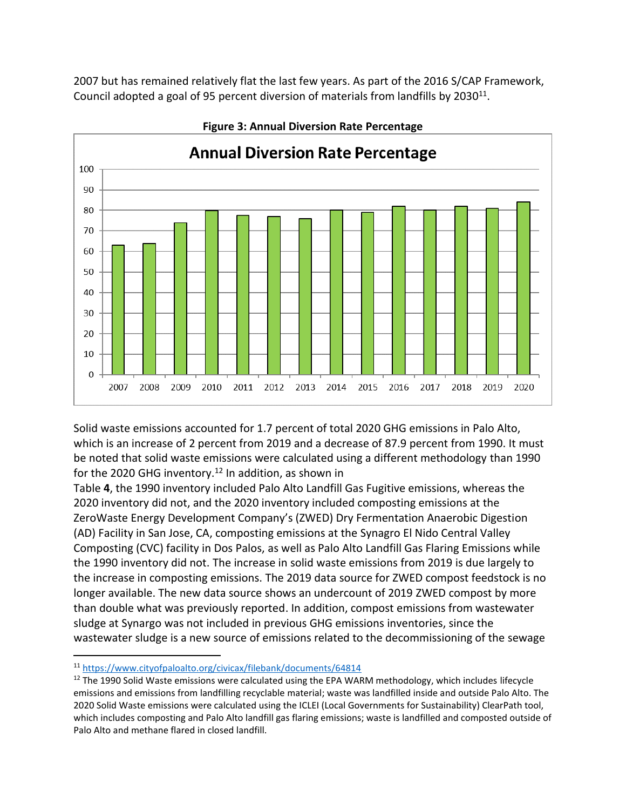2007 but has remained relatively flat the last few years. As part of the 2016 S/CAP Framework, Council adopted a goal of 95 percent diversion of materials from landfills by 2030<sup>11</sup>.

<span id="page-15-0"></span>

**Figure 3: Annual Diversion Rate Percentage**

Solid waste emissions accounted for 1.7 percent of total 2020 GHG emissions in Palo Alto, which is an increase of 2 percent from 2019 and a decrease of 87.9 percent from 1990. It must be noted that solid waste emissions were calculated using a different methodology than 1990 forthe 2020 GHG inventory.<sup>12</sup> In addition, as shown in

[Table](#page-16-0) **4**, the 1990 inventory included Palo Alto Landfill Gas Fugitive emissions, whereas the 2020 inventory did not, and the 2020 inventory included composting emissions at the ZeroWaste Energy Development Company's (ZWED) Dry Fermentation Anaerobic Digestion (AD) Facility in San Jose, CA, composting emissions at the Synagro El Nido Central Valley Composting (CVC) facility in Dos Palos, as well as Palo Alto Landfill Gas Flaring Emissions while the 1990 inventory did not. The increase in solid waste emissions from 2019 is due largely to the increase in composting emissions. The 2019 data source for ZWED compost feedstock is no longer available. The new data source shows an undercount of 2019 ZWED compost by more than double what was previously reported. In addition, compost emissions from wastewater sludge at Synargo was not included in previous GHG emissions inventories, since the wastewater sludge is a new source of emissions related to the decommissioning of the sewage

<sup>11</sup> <https://www.cityofpaloalto.org/civicax/filebank/documents/64814>

 $12$  The 1990 Solid Waste emissions were calculated using the EPA WARM methodology, which includes lifecycle emissions and emissions from landfilling recyclable material; waste was landfilled inside and outside Palo Alto. The 2020 Solid Waste emissions were calculated using the ICLEI (Local Governments for Sustainability) ClearPath tool, which includes composting and Palo Alto landfill gas flaring emissions; waste is landfilled and composted outside of Palo Alto and methane flared in closed landfill.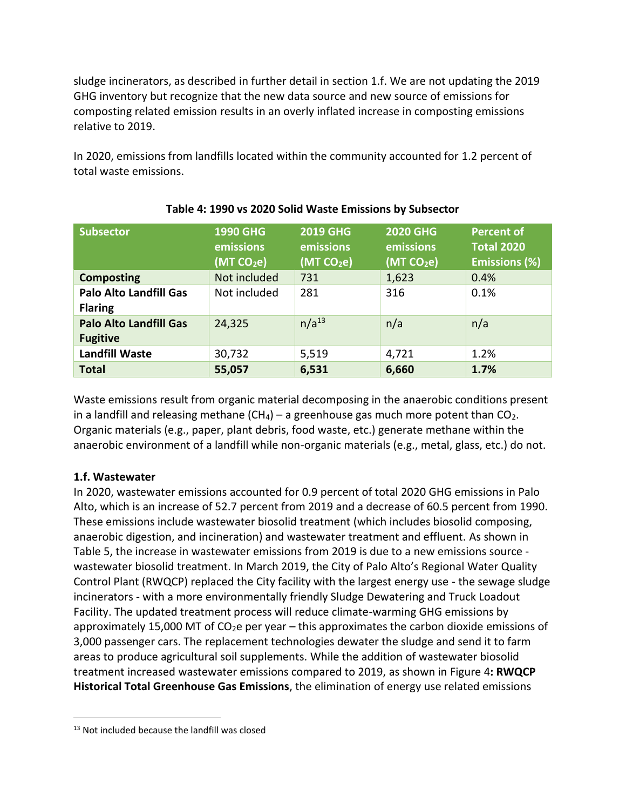sludge incinerators, as described in further detail in section 1.f. We are not updating the 2019 GHG inventory but recognize that the new data source and new source of emissions for composting related emission results in an overly inflated increase in composting emissions relative to 2019.

<span id="page-16-0"></span>In 2020, emissions from landfills located within the community accounted for 1.2 percent of total waste emissions.

| <b>Subsector</b>                                 | <b>1990 GHG</b><br>emissions<br>(MT CO <sub>2</sub> e) | <b>2019 GHG</b><br>emissions<br>(MT CO <sub>2</sub> e) | <b>2020 GHG</b><br>emissions<br>(MTCO <sub>2</sub> e) | Percent of<br><b>Total 2020</b><br><b>Emissions (%)</b> |
|--------------------------------------------------|--------------------------------------------------------|--------------------------------------------------------|-------------------------------------------------------|---------------------------------------------------------|
| <b>Composting</b>                                | Not included                                           | 731                                                    | 1,623                                                 | 0.4%                                                    |
| <b>Palo Alto Landfill Gas</b><br><b>Flaring</b>  | Not included                                           | 281                                                    | 316                                                   | 0.1%                                                    |
| <b>Palo Alto Landfill Gas</b><br><b>Fugitive</b> | 24,325                                                 | $n/a^{13}$                                             | n/a                                                   | n/a                                                     |
| <b>Landfill Waste</b>                            | 30,732                                                 | 5,519                                                  | 4,721                                                 | 1.2%                                                    |
| <b>Total</b>                                     | 55,057                                                 | 6,531                                                  | 6,660                                                 | 1.7%                                                    |

#### **Table 4: 1990 vs 2020 Solid Waste Emissions by Subsector**

Waste emissions result from organic material decomposing in the anaerobic conditions present in a landfill and releasing methane  $(CH_4)$  – a greenhouse gas much more potent than  $CO_2$ . Organic materials (e.g., paper, plant debris, food waste, etc.) generate methane within the anaerobic environment of a landfill while non-organic materials (e.g., metal, glass, etc.) do not.

## **1.f. Wastewater**

In 2020, wastewater emissions accounted for 0.9 percent of total 2020 GHG emissions in Palo Alto, which is an increase of 52.7 percent from 2019 and a decrease of 60.5 percent from 1990. These emissions include wastewater biosolid treatment (which includes biosolid composing, anaerobic digestion, and incineration) and wastewater treatment and effluent. As shown in [Table 5,](#page-17-0) the increase in wastewater emissions from 2019 is due to a new emissions source wastewater biosolid treatment. In March 2019, the City of Palo Alto's Regional Water Quality Control Plant (RWQCP) replaced the City facility with the largest energy use - the sewage sludge incinerators - with a more environmentally friendly Sludge Dewatering and Truck Loadout Facility. The updated treatment process will reduce climate-warming GHG emissions by approximately 15,000 MT of  $CO<sub>2</sub>e$  per year – this approximates the carbon dioxide emissions of 3,000 passenger cars. The replacement technologies dewater the sludge and send it to farm areas to produce agricultural soil supplements. While the addition of wastewater biosolid treatment increased wastewater emissions compared to 2019, as shown in Figure 4**[: RWQCP](#page-17-1)  [Historical Total Greenhouse Gas Emissions](#page-17-1)**, the elimination of energy use related emissions

<sup>&</sup>lt;sup>13</sup> Not included because the landfill was closed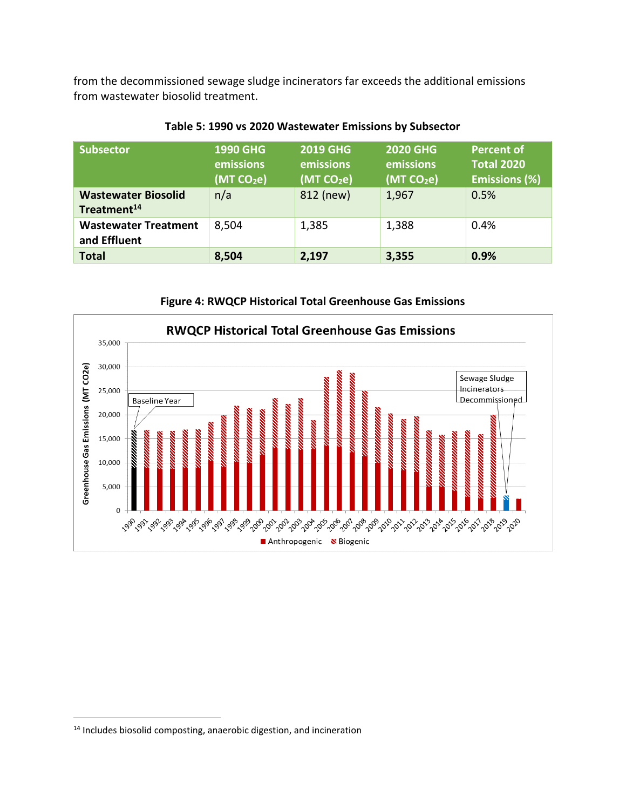from the decommissioned sewage sludge incinerators far exceeds the additional emissions from wastewater biosolid treatment.

<span id="page-17-0"></span>

| <b>Subsector</b>                                      | <b>1990 GHG</b><br>emissions<br>(MT CO <sub>2</sub> e) | <b>2019 GHG</b><br>emissions<br>(MT CO <sub>2</sub> e) | <b>2020 GHG</b><br>emissions<br>(MTCO <sub>2</sub> e) | <b>Percent of</b><br><b>Total 2020</b><br><b>Emissions (%)</b> |
|-------------------------------------------------------|--------------------------------------------------------|--------------------------------------------------------|-------------------------------------------------------|----------------------------------------------------------------|
| <b>Wastewater Biosolid</b><br>Treatment <sup>14</sup> | n/a                                                    | 812 (new)                                              | 1,967                                                 | 0.5%                                                           |
| <b>Wastewater Treatment</b><br>and Effluent           | 8,504                                                  | 1,385                                                  | 1,388                                                 | 0.4%                                                           |
| <b>Total</b>                                          | 8,504                                                  | 2,197                                                  | 3,355                                                 | 0.9%                                                           |

#### **Table 5: 1990 vs 2020 Wastewater Emissions by Subsector**

**Figure 4: RWQCP Historical Total Greenhouse Gas Emissions**

<span id="page-17-1"></span>

<sup>&</sup>lt;sup>14</sup> Includes biosolid composting, anaerobic digestion, and incineration